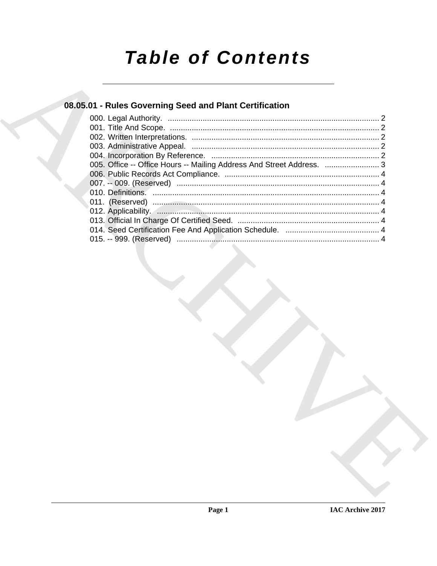# **Table of Contents**

## 08.05.01 - Rules Governing Seed and Plant Certification

| 005. Office -- Office Hours -- Mailing Address And Street Address.  3 |  |
|-----------------------------------------------------------------------|--|
|                                                                       |  |
|                                                                       |  |
|                                                                       |  |
|                                                                       |  |
|                                                                       |  |
|                                                                       |  |
|                                                                       |  |
|                                                                       |  |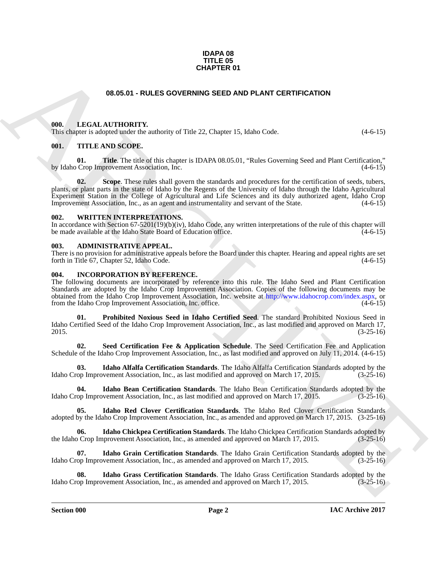#### **IDAPA 08 TITLE 05 CHAPTER 01**

### **08.05.01 - RULES GOVERNING SEED AND PLANT CERTIFICATION**

#### <span id="page-1-16"></span><span id="page-1-1"></span><span id="page-1-0"></span>**000. LEGAL AUTHORITY.**

This chapter is adopted under the authority of Title 22, Chapter 15, Idaho Code.  $(4-6-15)$ 

#### <span id="page-1-17"></span><span id="page-1-2"></span>**001. TITLE AND SCOPE.**

**01.** Title. The title of this chapter is IDAPA 08.05.01, "Rules Governing Seed and Plant Certification," by Idaho Crop Improvement Association, Inc. (4-6-15)

**66.65.01 - RULES GOVERNING SEED AND PLANT CERTIFICATION**<br> **(a)** LEGAL AUTIONATY, where  $\phi$  is the 2. Chepter 15. Edisho Code. (4 6 15)<br>
(b) - T[H](http://www.idahocrop.com/index.aspx)E KNO SCOPE.<br>
(a) - THE KNO SCOPE.<br>
(a) - THE KNO SCOPE.<br>
(a) - THE KNO SCO **02.** Scope. These rules shall govern the standards and procedures for the certification of seeds, tubers, plants, or plant parts in the state of Idaho by the Regents of the University of Idaho through the Idaho Agricultural Experiment Station in the College of Agricultural and Life Sciences and its duly authorized agent, Idaho Crop Improvement Association, Inc., as an agent and instrumentality and servant of the State. (4-6-15)

#### <span id="page-1-18"></span><span id="page-1-3"></span>**002. WRITTEN INTERPRETATIONS.**

In accordance with Section 67-5201(19)(b)(iv), Idaho Code, any written interpretations of the rule of this chapter will be made available at the Idaho State Board of Education office. (4-6-15)

#### <span id="page-1-6"></span><span id="page-1-4"></span>**003. ADMINISTRATIVE APPEAL.**

There is no provision for administrative appeals before the Board under this chapter. Hearing and appeal rights are set forth in Title 67, Chapter 52, Idaho Code.  $(4-6-15)$ 

#### <span id="page-1-7"></span><span id="page-1-5"></span>**004. INCORPORATION BY REFERENCE.**

The following documents are incorporated by reference into this rule. The Idaho Seed and Plant Certification Standards are adopted by the Idaho Crop Improvement Association. Copies of the following documents may be obtained from the Idaho Crop Improvement Association, Inc. website at http://www.idahocrop.com/index.aspx, or from the Idaho Crop Improvement Association, Inc. office. (4-6-15) (4-6-15)

<span id="page-1-14"></span>**01. Prohibited Noxious Seed in Idaho Certified Seed**. The standard Prohibited Noxious Seed in Idaho Certified Seed of the Idaho Crop Improvement Association, Inc., as last modified and approved on March 17, 2015. (3-25-16)

<span id="page-1-15"></span>**02. Seed Certification Fee & Application Schedule**. The Seed Certification Fee and Application Schedule of the Idaho Crop Improvement Association, Inc., as last modified and approved on July 11, 2014. (4-6-15)

<span id="page-1-8"></span>**03. Idaho Alfalfa Certification Standards**. The Idaho Alfalfa Certification Standards adopted by the Idaho Crop Improvement Association, Inc., as last modified and approved on March 17, 2015. (3-25-16)

<span id="page-1-9"></span>**Idaho Bean Certification Standards**. The Idaho Bean Certification Standards adopted by the ovement Association, Inc., as last modified and approved on March 17, 2015. (3-25-16) Idaho Crop Improvement Association, Inc., as last modified and approved on March 17, 2015.

<span id="page-1-13"></span>**05. Idaho Red Clover Certification Standards**. The Idaho Red Clover Certification Standards adopted by the Idaho Crop Improvement Association, Inc., as amended and approved on March 17, 2015. (3-25-16)

<span id="page-1-10"></span>**06.** Idaho Chickpea Certification Standards. The Idaho Chickpea Certification Standards adopted by Crop Improvement Association, Inc., as amended and approved on March 17, 2015. (3-25-16) the Idaho Crop Improvement Association, Inc., as amended and approved on March 17, 2015.

<span id="page-1-11"></span>**07.** Idaho Grain Certification Standards. The Idaho Grain Certification Standards adopted by the op Improvement Association, Inc., as amended and approved on March 17, 2015. (3-25-16) Idaho Crop Improvement Association, Inc., as amended and approved on March 17, 2015.

<span id="page-1-12"></span>**Idaho Grass Certification Standards**. The Idaho Grass Certification Standards adopted by the ovement Association, Inc., as amended and approved on March 17, 2015. (3-25-16) Idaho Crop Improvement Association, Inc., as amended and approved on March 17, 2015.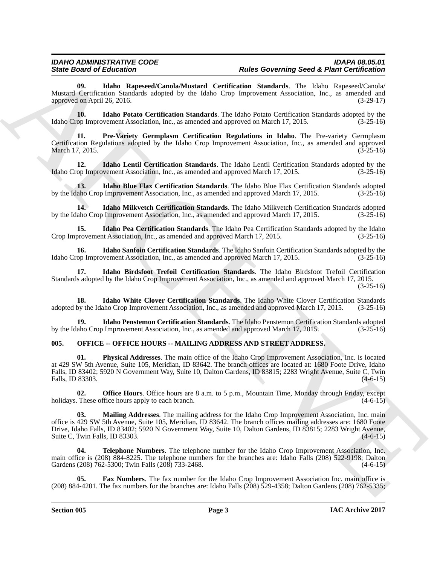<span id="page-2-8"></span>**09. Idaho Rapeseed/Canola/Mustard Certification Standards**. The Idaho Rapeseed/Canola/ Mustard Certification Standards adopted by the Idaho Crop Improvement Association, Inc., as amended and approved on April 26, 2016. (3-29-17)

<span id="page-2-7"></span>**10. Idaho Potato Certification Standards**. The Idaho Potato Certification Standards adopted by the Idaho Crop Improvement Association, Inc., as amended and approved on March 17, 2015. (3-25-16)

<span id="page-2-11"></span>**11. Pre-Variety Germplasm Certification Regulations in Idaho**. The Pre-variety Germplasm Certification Regulations adopted by the Idaho Crop Improvement Association, Inc., as amended and approved March 17, 2015. **(3-25-16)** (3-25-16)

<span id="page-2-3"></span>**12.** Idaho Lentil Certification Standards. The Idaho Lentil Certification Standards adopted by the op Improvement Association, Inc., as amended and approved March 17, 2015. (3-25-16) Idaho Crop Improvement Association, Inc., as amended and approved March 17, 2015.

<span id="page-2-2"></span>**13. Idaho Blue Flax Certification Standards**. The Idaho Blue Flax Certification Standards adopted by the Idaho Crop Improvement Association, Inc., as amended and approved March 17, 2015. (3-25-16)

<span id="page-2-4"></span>**14. Idaho Milkvetch Certification Standards**. The Idaho Milkvetch Certification Standards adopted by the Idaho Crop Improvement Association, Inc., as amended and approved March 17, 2015. (3-25-16)

<span id="page-2-5"></span>**15. Idaho Pea Certification Standards**. The Idaho Pea Certification Standards adopted by the Idaho provement Association, Inc., as amended and approved March 17, 2015. (3-25-16) Crop Improvement Association, Inc., as amended and approved March 17, 2015.

<span id="page-2-9"></span>**16.** Idaho Sanfoin Certification Standards. The Idaho Sanfoin Certification Standards adopted by the op Improvement Association, Inc., as amended and approved March 17, 2015. (3-25-16) Idaho Crop Improvement Association, Inc., as amended and approved March 17, 2015.

<span id="page-2-1"></span>**17. Idaho Birdsfoot Trefoil Certification Standards**. The Idaho Birdsfoot Trefoil Certification Standards adopted by the Idaho Crop Improvement Association, Inc., as amended and approved March 17, 2015. (3-25-16)

<span id="page-2-10"></span>**18.** Idaho White Clover Certification Standards. The Idaho White Clover Certification Standards by the Idaho Crop Improvement Association, Inc., as amended and approved March 17, 2015. (3-25-16) adopted by the Idaho Crop Improvement Association, Inc., as amended and approved March 17, 2015.

<span id="page-2-6"></span>**19. Idaho Penstemon Certification Standards**. The Idaho Penstemon Certification Standards adopted aho Crop Improvement Association, Inc., as amended and approved March 17, 2015. (3-25-16) by the Idaho Crop Improvement Association, Inc., as amended and approved March 17, 2015.

### <span id="page-2-12"></span><span id="page-2-0"></span>**005. OFFICE -- OFFICE HOURS -- MAILING ADDRESS AND STREET ADDRESS.**

Since Growthe Richard Corresponds (According the Growth Corresponds Architects)<br>
Mono Corresponds (According to the basis Corresponds Architects)<br>
Almost Corresponds (According to the basis Corresponds Architects)<br>
Applie **01. Physical Addresses**. The main office of the Idaho Crop Improvement Association, Inc. is located at 429 SW 5th Avenue, Suite 105, Meridian, ID 83642. The branch offices are located at: 1680 Foote Drive, Idaho Falls, ID 83402; 5920 N Government Way, Suite 10, Dalton Gardens, ID 83815; 2283 Wright Avenue, Suite C, Twin Falls, ID 83303. (4-6-15)

**02. Office Hours**. Office hours are 8 a.m. to 5 p.m., Mountain Time, Monday through Friday, except holidays. These office hours apply to each branch. (4-6-15)

**03. Mailing Addresses**. The mailing address for the Idaho Crop Improvement Association, Inc. main office is 429 SW 5th Avenue, Suite 105, Meridian, ID 83642. The branch offices mailing addresses are: 1680 Foote Drive, Idaho Falls, ID 83402; 5920 N Government Way, Suite 10, Dalton Gardens, ID 83815; 2283 Wright Avenue, Suite C, Twin Falls, ID 83303.

**04. Telephone Numbers**. The telephone number for the Idaho Crop Improvement Association, Inc. main office is (208) 884-8225. The telephone numbers for the branches are: Idaho Falls (208) 522-9198; Dalton Gardens (208) 762-5300; Twin Falls (208) 733-2468. (4-6-15)

**05. Fax Numbers**. The fax number for the Idaho Crop Improvement Association Inc. main office is (208) 884-4201. The fax numbers for the branches are: Idaho Falls (208) 529-4358; Dalton Gardens (208) 762-5335;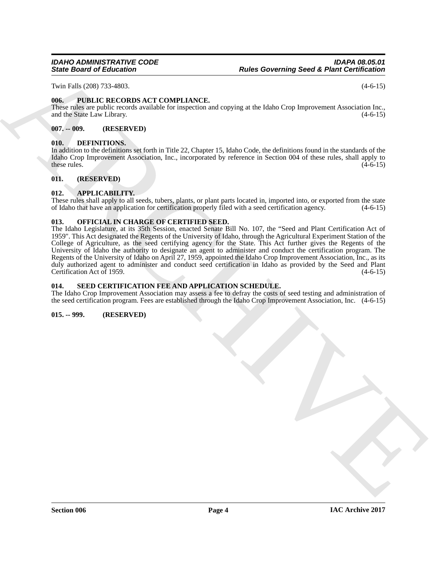Twin Falls (208) 733-4803. (4-6-15)

### <span id="page-3-11"></span><span id="page-3-0"></span>**006. PUBLIC RECORDS ACT COMPLIANCE.**

These rules are public records available for inspection and copying at the Idaho Crop Improvement Association Inc., and the State Law Library. (4-6-15)

#### <span id="page-3-1"></span>**007. -- 009. (RESERVED)**

#### <span id="page-3-9"></span><span id="page-3-2"></span>**010. DEFINITIONS.**

In addition to the definitions set forth in Title 22, Chapter 15, Idaho Code, the definitions found in the standards of the Idaho Crop Improvement Association, Inc., incorporated by reference in Section 004 of these rules, shall apply to these rules.  $(4-6-15)$ 

#### <span id="page-3-3"></span>**011. (RESERVED)**

#### <span id="page-3-8"></span><span id="page-3-4"></span>**012. APPLICABILITY.**

These rules shall apply to all seeds, tubers, plants, or plant parts located in, imported into, or exported from the state of Idaho that have an application for certification properly filed with a seed certification agency of Idaho that have an application for certification properly filed with a seed certification agency.

#### <span id="page-3-10"></span><span id="page-3-5"></span>**013. OFFICIAL IN CHARGE OF CERTIFIED SEED.**

Since Brian of Bristophera Theorem (Section Anti-<br>
The Editor Official Prior Finance Control (1970)<br>
The Editor Control (1970)<br>
Material Prior Finance Control (1970)<br>
Material Prior Control (1970)<br>
(1971)<br>
(1971)<br>
(1972)<br> The Idaho Legislature, at its 35th Session, enacted Senate Bill No. 107, the "Seed and Plant Certification Act of 1959". This Act designated the Regents of the University of Idaho, through the Agricultural Experiment Station of the College of Agriculture, as the seed certifying agency for the State. This Act further gives the Regents of the University of Idaho the authority to designate an agent to administer and conduct the certification program. The Regents of the University of Idaho on April 27, 1959, appointed the Idaho Crop Improvement Association, Inc., as its duly authorized agent to administer and conduct seed certification in Idaho as provided by the Seed and Plant Certification Act of 1959. (4-6-15) Certification Act of 1959.

#### <span id="page-3-12"></span><span id="page-3-6"></span>**014. SEED CERTIFICATION FEE AND APPLICATION SCHEDULE.**

The Idaho Crop Improvement Association may assess a fee to defray the costs of seed testing and administration of the seed certification program. Fees are established through the Idaho Crop Improvement Association, Inc. (4-6-15)

#### <span id="page-3-7"></span>**015. -- 999. (RESERVED)**